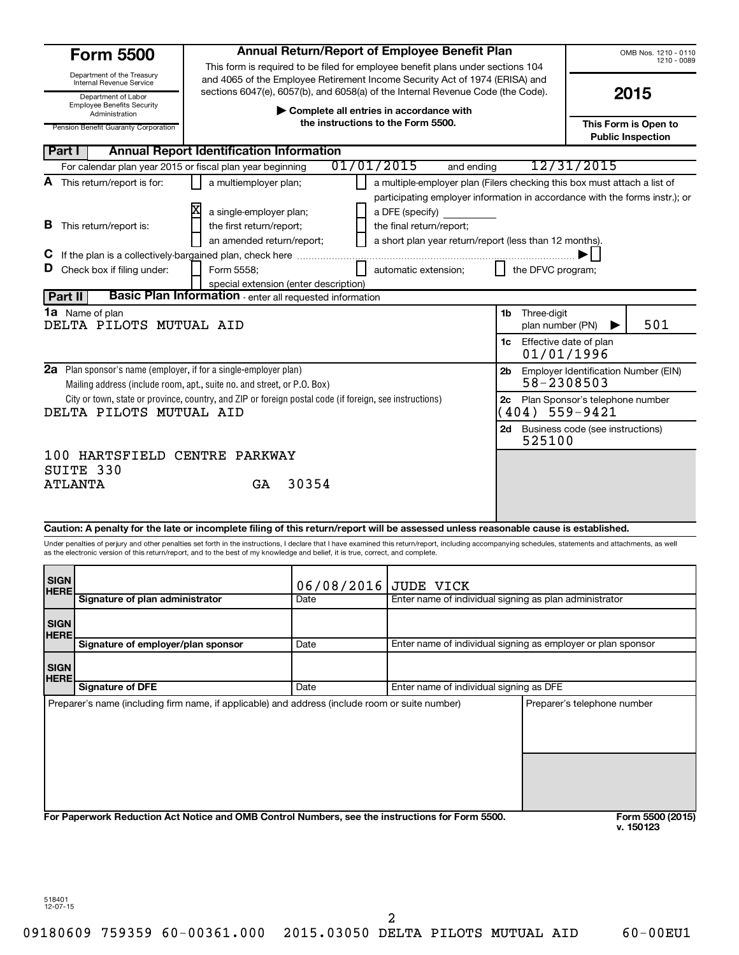| <b>Form 5500</b>                                                                                                                                                                                       |                                                                                                                                                                |                                                                                                                                    | Annual Return/Report of Employee Benefit Plan                                                                                                                                        |                                                       |                                  | OMB Nos. 1210 - 0110<br>1210 - 0089              |  |
|--------------------------------------------------------------------------------------------------------------------------------------------------------------------------------------------------------|----------------------------------------------------------------------------------------------------------------------------------------------------------------|------------------------------------------------------------------------------------------------------------------------------------|--------------------------------------------------------------------------------------------------------------------------------------------------------------------------------------|-------------------------------------------------------|----------------------------------|--------------------------------------------------|--|
| Department of the Treasury<br>Internal Revenue Service                                                                                                                                                 | This form is required to be filed for employee benefit plans under sections 104<br>and 4065 of the Employee Retirement Income Security Act of 1974 (ERISA) and |                                                                                                                                    |                                                                                                                                                                                      |                                                       |                                  |                                                  |  |
| Department of Labor<br><b>Employee Benefits Security</b>                                                                                                                                               |                                                                                                                                                                | sections 6047(e), 6057(b), and 6058(a) of the Internal Revenue Code (the Code).<br>2015<br>Complete all entries in accordance with |                                                                                                                                                                                      |                                                       |                                  |                                                  |  |
| Administration<br>Pension Benefit Guaranty Corporation                                                                                                                                                 |                                                                                                                                                                | the instructions to the Form 5500.                                                                                                 |                                                                                                                                                                                      |                                                       |                                  | This Form is Open to<br><b>Public Inspection</b> |  |
| Part I                                                                                                                                                                                                 | <b>Annual Report Identification Information</b>                                                                                                                |                                                                                                                                    |                                                                                                                                                                                      |                                                       |                                  |                                                  |  |
| For calendar plan year 2015 or fiscal plan year beginning                                                                                                                                              |                                                                                                                                                                | 01/01/2015                                                                                                                         | and ending                                                                                                                                                                           |                                                       | 12/31/2015                       |                                                  |  |
| A This return/report is for:                                                                                                                                                                           | a multiemployer plan;                                                                                                                                          |                                                                                                                                    | a multiple-employer plan (Filers checking this box must attach a list of                                                                                                             |                                                       |                                  |                                                  |  |
| <b>B</b> This return/report is:                                                                                                                                                                        | a single-employer plan;<br>the first return/report;<br>an amended return/report;                                                                               |                                                                                                                                    | participating employer information in accordance with the forms instr.); or<br>a DFE (specify)<br>the final return/report;<br>a short plan year return/report (less than 12 months). |                                                       |                                  |                                                  |  |
|                                                                                                                                                                                                        |                                                                                                                                                                |                                                                                                                                    |                                                                                                                                                                                      |                                                       |                                  |                                                  |  |
| D Check box if filing under:                                                                                                                                                                           | Form 5558:<br>special extension (enter description)                                                                                                            |                                                                                                                                    | automatic extension;                                                                                                                                                                 | the DFVC program;                                     |                                  |                                                  |  |
| Part II                                                                                                                                                                                                | <b>Basic Plan Information</b> - enter all requested information                                                                                                |                                                                                                                                    |                                                                                                                                                                                      |                                                       |                                  |                                                  |  |
| 1a Name of plan<br>DELTA PILOTS MUTUAL AID                                                                                                                                                             |                                                                                                                                                                |                                                                                                                                    |                                                                                                                                                                                      | <b>1b</b> Three-digit<br>plan number (PN)             |                                  | 501                                              |  |
|                                                                                                                                                                                                        |                                                                                                                                                                |                                                                                                                                    |                                                                                                                                                                                      | <b>1c</b> Effective date of plan<br>01/01/1996        |                                  |                                                  |  |
| <b>2a</b> Plan sponsor's name (employer, if for a single-employer plan)<br>Mailing address (include room, apt., suite no. and street, or P.O. Box)                                                     |                                                                                                                                                                |                                                                                                                                    |                                                                                                                                                                                      | 2b Employer Identification Number (EIN)<br>58-2308503 |                                  |                                                  |  |
| City or town, state or province, country, and ZIP or foreign postal code (if foreign, see instructions)<br>DELTA PILOTS MUTUAL AID                                                                     |                                                                                                                                                                |                                                                                                                                    |                                                                                                                                                                                      | 2с<br>$(404)$ 559-9421                                | Plan Sponsor's telephone number  |                                                  |  |
|                                                                                                                                                                                                        |                                                                                                                                                                |                                                                                                                                    |                                                                                                                                                                                      | 2d l<br>525100                                        | Business code (see instructions) |                                                  |  |
| 100 HARTSFIELD CENTRE PARKWAY                                                                                                                                                                          |                                                                                                                                                                |                                                                                                                                    |                                                                                                                                                                                      |                                                       |                                  |                                                  |  |
| SUITE 330                                                                                                                                                                                              |                                                                                                                                                                |                                                                                                                                    |                                                                                                                                                                                      |                                                       |                                  |                                                  |  |
| <b>ATLANTA</b>                                                                                                                                                                                         | GA                                                                                                                                                             | 30354                                                                                                                              |                                                                                                                                                                                      |                                                       |                                  |                                                  |  |
|                                                                                                                                                                                                        |                                                                                                                                                                |                                                                                                                                    |                                                                                                                                                                                      |                                                       |                                  |                                                  |  |
| Caution: A penalty for the late or incomplete filing of this return/report will be assessed unless reasonable cause is established.                                                                    |                                                                                                                                                                |                                                                                                                                    |                                                                                                                                                                                      |                                                       |                                  |                                                  |  |
| Under penalties of perjury and other penalties set forth in the instructions, I declare that I have examined this return/report, including accompanying schedules, statements and attachments, as well |                                                                                                                                                                |                                                                                                                                    |                                                                                                                                                                                      |                                                       |                                  |                                                  |  |
| as the electronic version of this return/report, and to the best of my knowledge and belief, it is true, correct, and complete.                                                                        |                                                                                                                                                                |                                                                                                                                    |                                                                                                                                                                                      |                                                       |                                  |                                                  |  |
| <b>SIGN</b><br><b>HERE</b>                                                                                                                                                                             |                                                                                                                                                                | 06/08/2016                                                                                                                         | JUDE VICK                                                                                                                                                                            |                                                       |                                  |                                                  |  |
| Signature of plan administrator                                                                                                                                                                        |                                                                                                                                                                | Date                                                                                                                               | Enter name of individual signing as plan administrator                                                                                                                               |                                                       |                                  |                                                  |  |
| <b>SIGN</b>                                                                                                                                                                                            |                                                                                                                                                                |                                                                                                                                    |                                                                                                                                                                                      |                                                       |                                  |                                                  |  |

**For Paperwork Reduction Act Notice and OMB Control Numbers, see the instructions for Form 5500.** 

518401 12-07-15

**HERE**

**SIGN HERE** **Signature of employer/plan sponsor**

**Signature of DFE**

Preparer's name (including firm name, if applicable) and address (include room or suite number) Preparer's telephone number

2

Date **Enter name of individual signing as employer or plan sponsor** 

Date **Enter name of individual signing as DFE**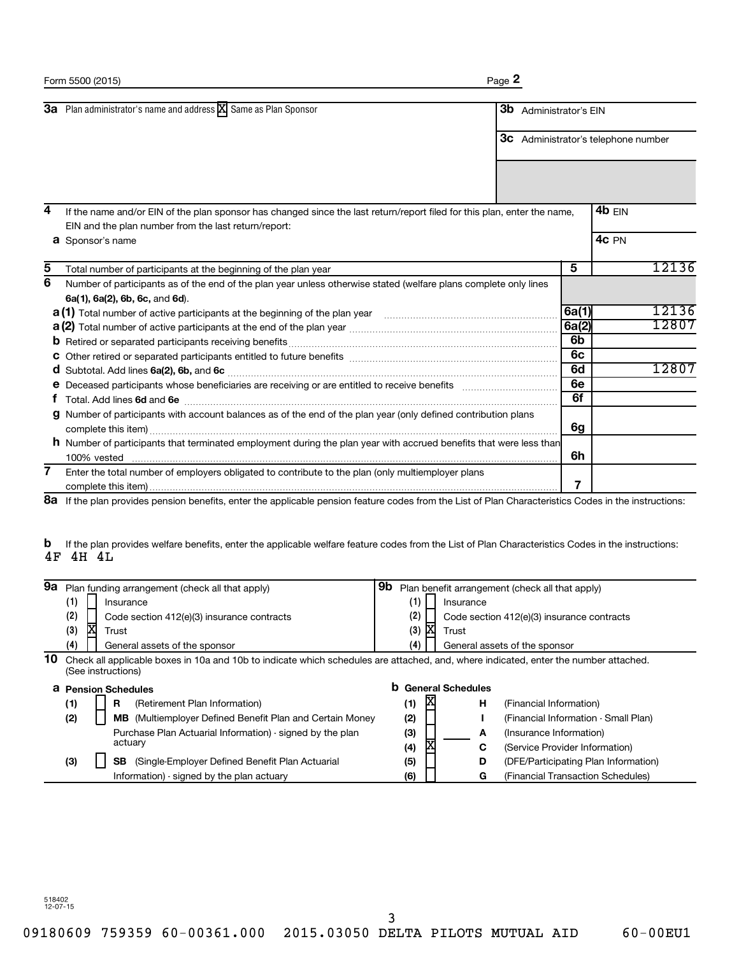|   | 3a Plan administrator's name and address X Same as Plan Sponsor                                                            | <b>3b</b> Administrator's EIN |                |                                            |  |
|---|----------------------------------------------------------------------------------------------------------------------------|-------------------------------|----------------|--------------------------------------------|--|
|   |                                                                                                                            |                               |                | <b>3c</b> Administrator's telephone number |  |
|   |                                                                                                                            |                               |                |                                            |  |
| 4 | If the name and/or EIN of the plan sponsor has changed since the last return/report filed for this plan, enter the name,   |                               |                | 4 $b$ EIN                                  |  |
|   | EIN and the plan number from the last return/report:                                                                       |                               |                |                                            |  |
|   | <b>a</b> Sponsor's name                                                                                                    |                               |                | 4c PN                                      |  |
| 5 | Total number of participants at the beginning of the plan year                                                             |                               | 5              | 12136                                      |  |
| 6 | Number of participants as of the end of the plan year unless otherwise stated (welfare plans complete only lines           |                               |                |                                            |  |
|   | 6a(1), 6a(2), 6b, 6c, and 6d).                                                                                             |                               |                |                                            |  |
|   | <b>a (1)</b> Total number of active participants at the beginning of the plan year <i>macure communicanom communicanom</i> |                               | 6a(1)          | 12136                                      |  |
|   |                                                                                                                            |                               | 6a(2)          | 12807                                      |  |
|   |                                                                                                                            |                               | 6 <sub>b</sub> |                                            |  |
|   |                                                                                                                            |                               | 6c             |                                            |  |
|   |                                                                                                                            |                               | 6d             | 12807                                      |  |
|   | e Deceased participants whose beneficiaries are receiving or are entitled to receive benefits manufactured in              |                               | 6e             |                                            |  |
|   |                                                                                                                            |                               | 6f             |                                            |  |
| g | Number of participants with account balances as of the end of the plan year (only defined contribution plans               |                               | 6g             |                                            |  |
|   | h Number of participants that terminated employment during the plan year with accrued benefits that were less than         |                               |                |                                            |  |
|   | 100% vested                                                                                                                |                               | 6h             |                                            |  |
| 7 | Enter the total number of employers obligated to contribute to the plan (only multiemployer plans                          |                               |                |                                            |  |
|   |                                                                                                                            |                               |                |                                            |  |

8a If the plan provides pension benefits, enter the applicable pension feature codes from the List of Plan Characteristics Codes in the instructions:

If the plan provides welfare benefits, enter the applicable welfare feature codes from the List of Plan Characteristics Codes in the instructions: **b** 4F 4H 4L

| 9а |                    |  | Plan funding arrangement (check all that apply)                                                                                      | 9b |     |     |                            | Plan benefit arrangement (check all that apply) |  |
|----|--------------------|--|--------------------------------------------------------------------------------------------------------------------------------------|----|-----|-----|----------------------------|-------------------------------------------------|--|
|    | (1)<br>Insurance   |  |                                                                                                                                      |    |     |     | Insurance                  |                                                 |  |
|    | (2)                |  | Code section 412(e)(3) insurance contracts                                                                                           |    | (2) |     |                            | Code section 412(e)(3) insurance contracts      |  |
|    | (3)                |  | Trust                                                                                                                                |    | (3) | ΙXΙ | Trust                      |                                                 |  |
|    | (4)                |  | General assets of the sponsor                                                                                                        |    | (4) |     |                            | General assets of the sponsor                   |  |
| 10 |                    |  | Check all applicable boxes in 10a and 10b to indicate which schedules are attached, and, where indicated, enter the number attached. |    |     |     |                            |                                                 |  |
|    | (See instructions) |  |                                                                                                                                      |    |     |     |                            |                                                 |  |
|    |                    |  |                                                                                                                                      |    |     |     |                            |                                                 |  |
| a  |                    |  | <b>Pension Schedules</b>                                                                                                             |    |     |     | <b>b</b> General Schedules |                                                 |  |
|    | (1)                |  | R<br>(Retirement Plan Information)                                                                                                   |    | (1) | X   | н                          | (Financial Information)                         |  |
|    | (2)                |  | <b>MB</b> (Multiemployer Defined Benefit Plan and Certain Money                                                                      |    | (2) |     |                            | (Financial Information - Small Plan)            |  |
|    |                    |  | Purchase Plan Actuarial Information) - signed by the plan                                                                            |    | (3) |     | A                          | (Insurance Information)                         |  |
|    |                    |  | actuary                                                                                                                              |    | (4) | х   | C                          | (Service Provider Information)                  |  |
|    | (3)                |  | <b>SB</b><br>(Single-Employer Defined Benefit Plan Actuarial)                                                                        |    | (5) |     | D                          | (DFE/Participating Plan Information)            |  |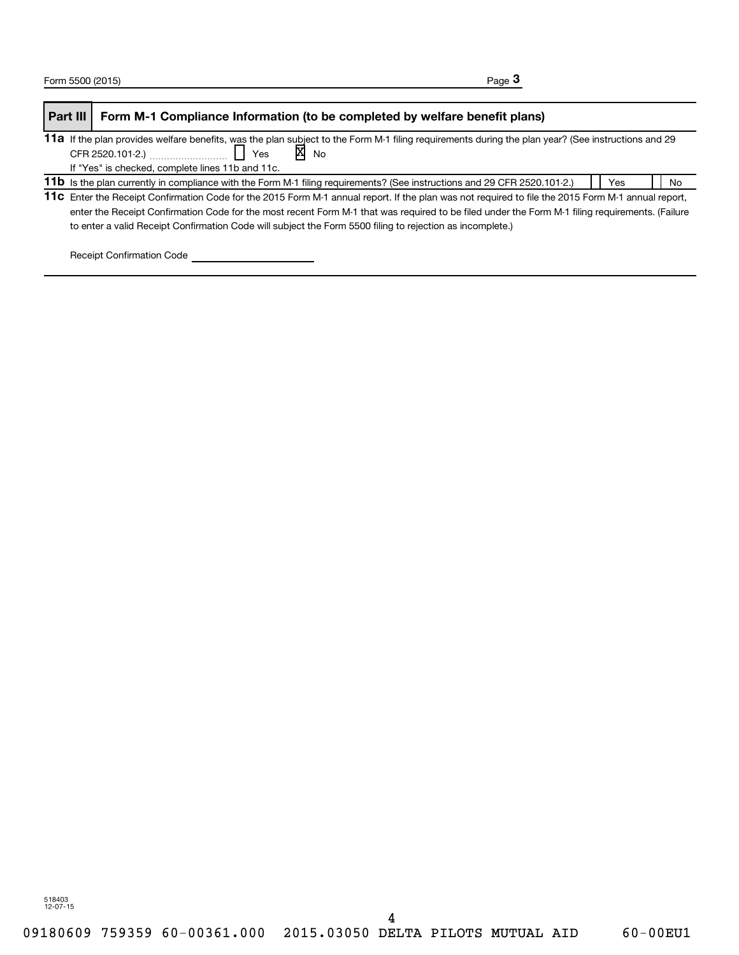| Part III | Form M-1 Compliance Information (to be completed by welfare benefit plans)                                                                         |     |    |
|----------|----------------------------------------------------------------------------------------------------------------------------------------------------|-----|----|
|          | 11a If the plan provides welfare benefits, was the plan subject to the Form M-1 filing requirements during the plan year? (See instructions and 29 |     |    |
|          | $\overline{X}$ No                                                                                                                                  |     |    |
|          | If "Yes" is checked, complete lines 11b and 11c.                                                                                                   |     |    |
|          | 11b Is the plan currently in compliance with the Form M-1 filing requirements? (See instructions and 29 CFR 2520.101-2.)                           | Yes | No |
|          | 11c Enter the Receipt Confirmation Code for the 2015 Form M-1 annual report. If the plan was not required to file the 2015 Form M-1 annual report, |     |    |
|          | enter the Receipt Confirmation Code for the most recent Form M-1 that was required to be filed under the Form M-1 filing requirements. (Failure    |     |    |
|          | to enter a valid Receipt Confirmation Code will subject the Form 5500 filing to rejection as incomplete.)                                          |     |    |

Receipt Confirmation Code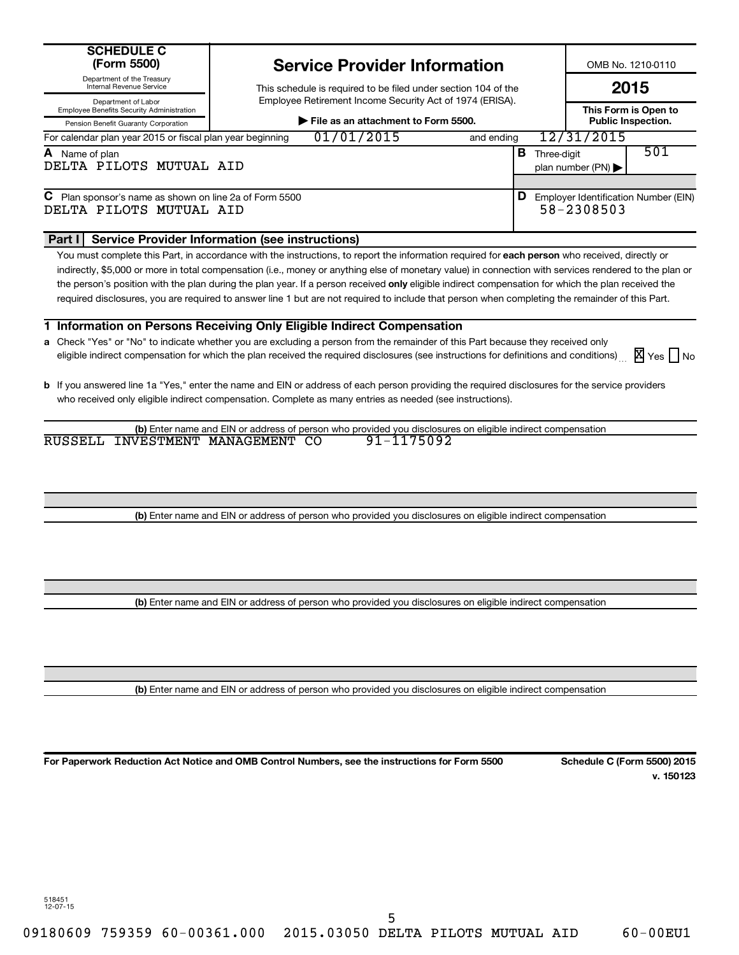|                                                                         |                                                          | OCI TIVU I TUTIMUI IIIIUITIMUUTI                               |            |             |                  |
|-------------------------------------------------------------------------|----------------------------------------------------------|----------------------------------------------------------------|------------|-------------|------------------|
| Department of the Treasury<br>Internal Revenue Service                  |                                                          | This schedule is required to be filed under section 104 of the |            |             |                  |
| Department of Labor<br><b>Employee Benefits Security Administration</b> | Employee Retirement Income Security Act of 1974 (ERISA). |                                                                |            |             |                  |
| Pension Benefit Guaranty Corporation                                    | File as an attachment to Form 5500.                      |                                                                |            |             |                  |
| For calendar plan year 2015 or fiscal plan year beginning               |                                                          | 01/01/2015                                                     | and ending |             | 12/31/201        |
| Name of plan                                                            |                                                          |                                                                | в          | Three-diait |                  |
| DELTA PILOTS MUTUAL AID                                                 |                                                          |                                                                |            |             | plan number (PN) |
|                                                                         |                                                          |                                                                |            |             |                  |

## **C** Plan sponsor's name as shown on line 2a of Form 5500 **Employer Identification Number (EIN)** C **D** Employer Identification Number (EIN) DELTA PILOTS MUTUAL AID 58-2308503

**SCHEDULE C (Form 5500)**

## **Part I Service Provider Information (see instructions)**

You must complete this Part, in accordance with the instructions, to report the information required for **each person** who received, directly or the person's position with the plan during the plan year. If a person received **only** eligible indirect compensation for which the plan received the indirectly, \$5,000 or more in total compensation (i.e., money or anything else of monetary value) in connection with services rendered to the plan or required disclosures, you are required to answer line 1 but are not required to include that person when completing the remainder of this Part.

**Service Provider Information**

## **1 Information on Persons Receiving Only Eligible Indirect Compensation**

- **a** Check "Yes" or "No" to indicate whether you are excluding a person from the remainder of this Part because they received only eligible indirect compensation for which the plan received the required disclosures (see instructions for definitions and conditions) X Yes | No
- **b** If you answered line 1a "Yes," enter the name and EIN or address of each person providing the required disclosures for the service providers who received only eligible indirect compensation. Complete as many entries as needed (see instructions).

**(b)** Enter name and EIN or address of person who provided you disclosures on eligible indirect compensation RUSSELL INVESTMENT MANAGEMENT CO 91-1175092

**(b)** Enter name and EIN or address of person who provided you disclosures on eligible indirect compensation

**(b)** Enter name and EIN or address of person who provided you disclosures on eligible indirect compensation

**(b)** Enter name and EIN or address of person who provided you disclosures on eligible indirect compensation

**For Paperwork Reduction Act Notice and OMB Control Numbers, see the instructions for Form 5500 Schedule C (Form 5500) 2015**

**v. 150123**

**This Form is Open to Public Inspection.** 

501

31/2015

**2015**

OMB No. 1210-0110

518451 12-07-15

09180609 759359 60-00361.000 2015.03050 DELTA PILOTS MUTUAL AID 60-00EU1

5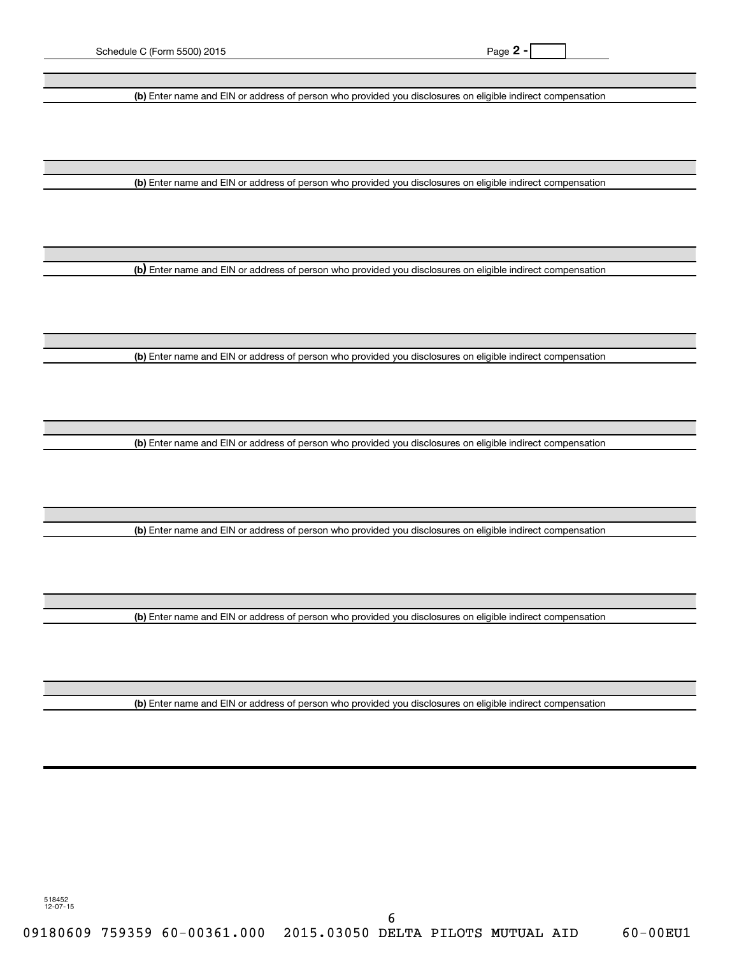**(b)** Enter name and EIN or address of person who provided you disclosures on eligible indirect compensation

**(b)** Enter name and EIN or address of person who provided you disclosures on eligible indirect compensation

**(b** Enter name and EIN or address of person who provided you disclosures on eligible indirect compensation **)**

**(b)** Enter name and EIN or address of person who provided you disclosures on eligible indirect compensation

**(b)** Enter name and EIN or address of person who provided you disclosures on eligible indirect compensation

**(b)** Enter name and EIN or address of person who provided you disclosures on eligible indirect compensation

**(b)** Enter name and EIN or address of person who provided you disclosures on eligible indirect compensation

**(b)** Enter name and EIN or address of person who provided you disclosures on eligible indirect compensation

518452 12-07-15

09180609 759359 60-00361.000 2015.03050 DELTA PILOTS MUTUAL AID 60-00EU1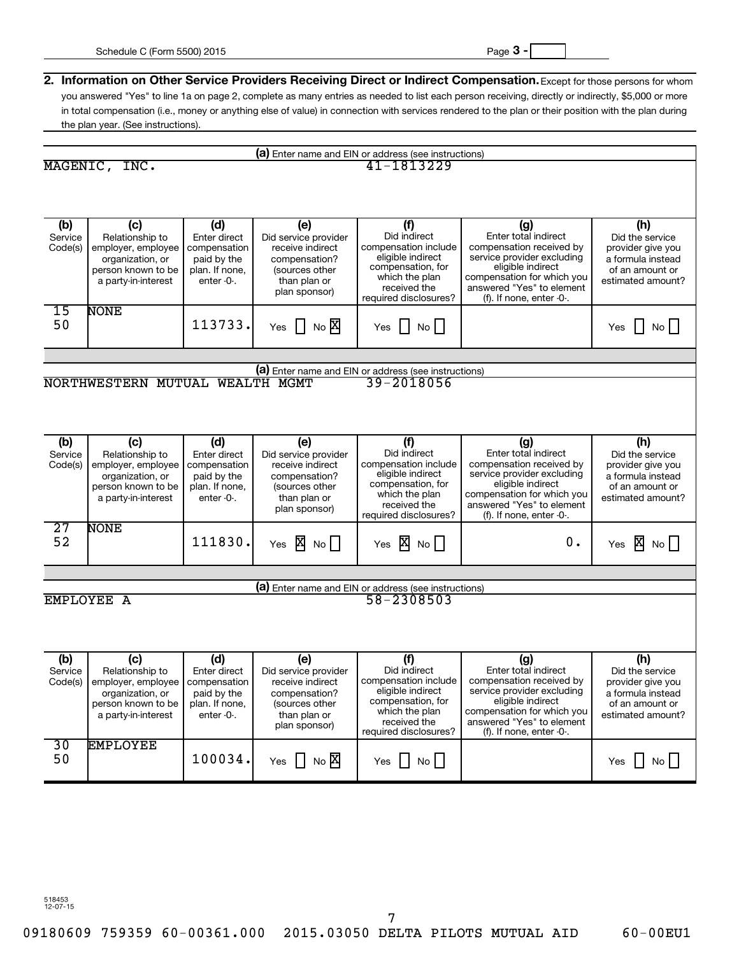| (a) Enter name and EIN or address (see instructions) |                                                                                                                                        |                                                                               |                                                                                                                     |                                                                                                                                                  |                                                                                                                                                                                                     |                                                                                                          |
|------------------------------------------------------|----------------------------------------------------------------------------------------------------------------------------------------|-------------------------------------------------------------------------------|---------------------------------------------------------------------------------------------------------------------|--------------------------------------------------------------------------------------------------------------------------------------------------|-----------------------------------------------------------------------------------------------------------------------------------------------------------------------------------------------------|----------------------------------------------------------------------------------------------------------|
|                                                      | MAGENIC, INC.                                                                                                                          |                                                                               |                                                                                                                     | 41-1813229                                                                                                                                       |                                                                                                                                                                                                     |                                                                                                          |
|                                                      |                                                                                                                                        |                                                                               |                                                                                                                     |                                                                                                                                                  |                                                                                                                                                                                                     |                                                                                                          |
|                                                      |                                                                                                                                        |                                                                               |                                                                                                                     |                                                                                                                                                  |                                                                                                                                                                                                     |                                                                                                          |
| (b)<br>Service                                       | (c)<br>Relationship to                                                                                                                 | (d)<br>Enter direct                                                           | (e)<br>Did service provider                                                                                         | (f)<br>Did indirect                                                                                                                              | (g)<br>Enter total indirect                                                                                                                                                                         | (h)<br>Did the service                                                                                   |
| Code(s)                                              | employer, employee<br>organization, or<br>person known to be<br>a party-in-interest                                                    | compensation<br>paid by the<br>plan. If none,<br>enter $-0$ .                 | receive indirect<br>compensation?<br>(sources other<br>than plan or<br>plan sponsor)                                | compensation include<br>eligible indirect<br>compensation, for<br>which the plan<br>received the<br>required disclosures?                        | compensation received by<br>service provider excluding<br>eligible indirect<br>compensation for which you<br>answered "Yes" to element<br>(f). If none, enter -0-.                                  | provider give you<br>a formula instead<br>of an amount or<br>estimated amount?                           |
| 15<br>50                                             | <b>NONE</b>                                                                                                                            | 113733.                                                                       | Yes $\Box$ No $\overline{X}$                                                                                        | No<br>Yes<br>$\perp$                                                                                                                             |                                                                                                                                                                                                     | $\overline{N}$ o<br>Yes                                                                                  |
|                                                      |                                                                                                                                        |                                                                               |                                                                                                                     |                                                                                                                                                  |                                                                                                                                                                                                     |                                                                                                          |
|                                                      |                                                                                                                                        |                                                                               |                                                                                                                     | (a) Enter name and EIN or address (see instructions)                                                                                             |                                                                                                                                                                                                     |                                                                                                          |
|                                                      | NORTHWESTERN MUTUAL                                                                                                                    |                                                                               | WEALTH MGMT                                                                                                         | 39-2018056                                                                                                                                       |                                                                                                                                                                                                     |                                                                                                          |
|                                                      |                                                                                                                                        |                                                                               |                                                                                                                     |                                                                                                                                                  |                                                                                                                                                                                                     |                                                                                                          |
| (b)                                                  | (c)                                                                                                                                    | (d)                                                                           | (e)                                                                                                                 | (f)                                                                                                                                              | (g)                                                                                                                                                                                                 | (h)                                                                                                      |
| Service<br>Code(s)                                   | Relationship to<br>employer, employee<br>organization, or<br>person known to be<br>a party-in-interest                                 | Enter direct<br>compensation<br>paid by the<br>plan. If none,<br>enter $-0$ . | Did service provider<br>receive indirect<br>compensation?<br>(sources other<br>than plan or<br>plan sponsor)        | Did indirect<br>compensation include<br>eligible indirect<br>compensation, for<br>which the plan<br>received the                                 | Enter total indirect<br>compensation received by<br>service provider excluding<br>eligible indirect<br>compensation for which you<br>answered "Yes" to element                                      | Did the service<br>provider give you<br>a formula instead<br>of an amount or<br>estimated amount?        |
| $\overline{27}$                                      | <b>NONE</b>                                                                                                                            |                                                                               |                                                                                                                     | required disclosures?                                                                                                                            | (f). If none, enter -0-.                                                                                                                                                                            |                                                                                                          |
| 52                                                   |                                                                                                                                        | 111830.                                                                       | Yes $\overline{X}$ No $\Box$                                                                                        | Yes $X \nightharpoonup N_0$                                                                                                                      | 0.                                                                                                                                                                                                  | Yes $X \sim N$                                                                                           |
|                                                      |                                                                                                                                        |                                                                               |                                                                                                                     |                                                                                                                                                  |                                                                                                                                                                                                     |                                                                                                          |
|                                                      |                                                                                                                                        |                                                                               |                                                                                                                     | (a) Enter name and EIN or address (see instructions)                                                                                             |                                                                                                                                                                                                     |                                                                                                          |
|                                                      | EMPLOYEE A                                                                                                                             |                                                                               |                                                                                                                     | 58-2308503                                                                                                                                       |                                                                                                                                                                                                     |                                                                                                          |
|                                                      |                                                                                                                                        |                                                                               |                                                                                                                     |                                                                                                                                                  |                                                                                                                                                                                                     |                                                                                                          |
| (b)<br>Service                                       | (c)<br>Relationship to<br>Code(s) employer, employee   compensation  <br>organization, or<br>person known to be<br>a party-in-interest | (d)<br>Enter direct<br>paid by the<br>plan. If none,<br>enter $-0$ .          | (e)<br>Did service provider<br>receive indirect<br>compensation?<br>(sources other<br>than plan or<br>plan sponsor) | (f)<br>Did indirect<br>compensation include<br>eligible indirect<br>compensation, for<br>which the plan<br>received the<br>required disclosures? | (g)<br>Enter total indirect<br>compensation received by<br>service provider excluding<br>eligible indirect<br>compensation for which you<br>answered "Yes" to element<br>(f). If none, enter $-0$ . | (h)<br>Did the service<br>provider give you<br>a formula instead<br>of an amount or<br>estimated amount? |
| 30<br>50                                             | <b>EMPLOYEE</b>                                                                                                                        | 100034.                                                                       | $NO$ $\times$<br>$\perp$<br>Yes                                                                                     | No<br>Yes                                                                                                                                        |                                                                                                                                                                                                     | No<br>Yes<br>$\perp$                                                                                     |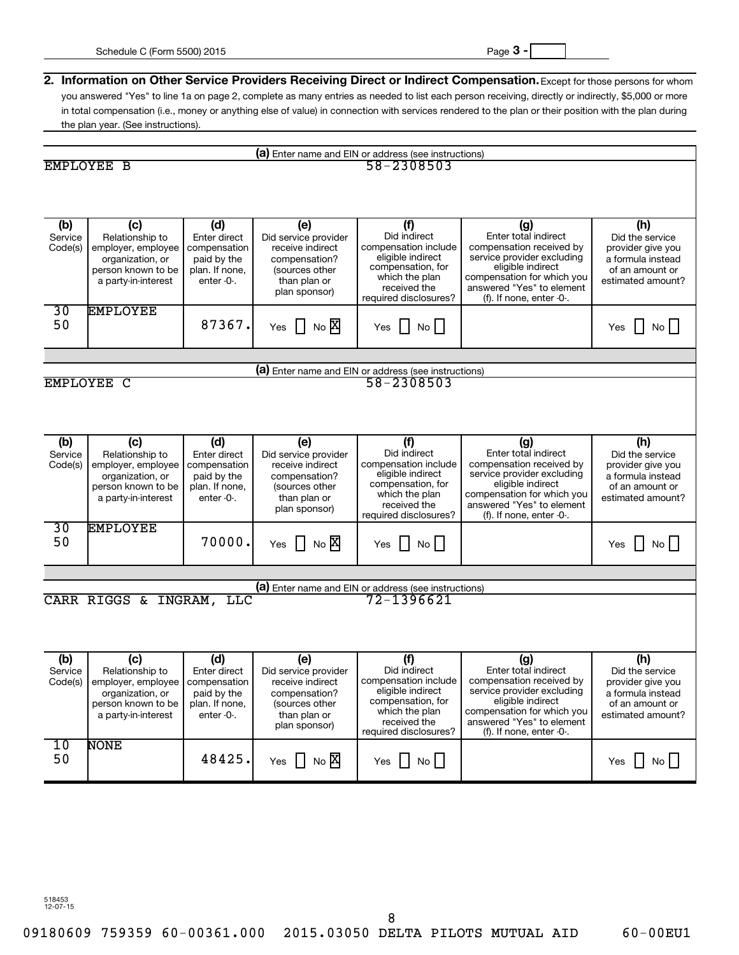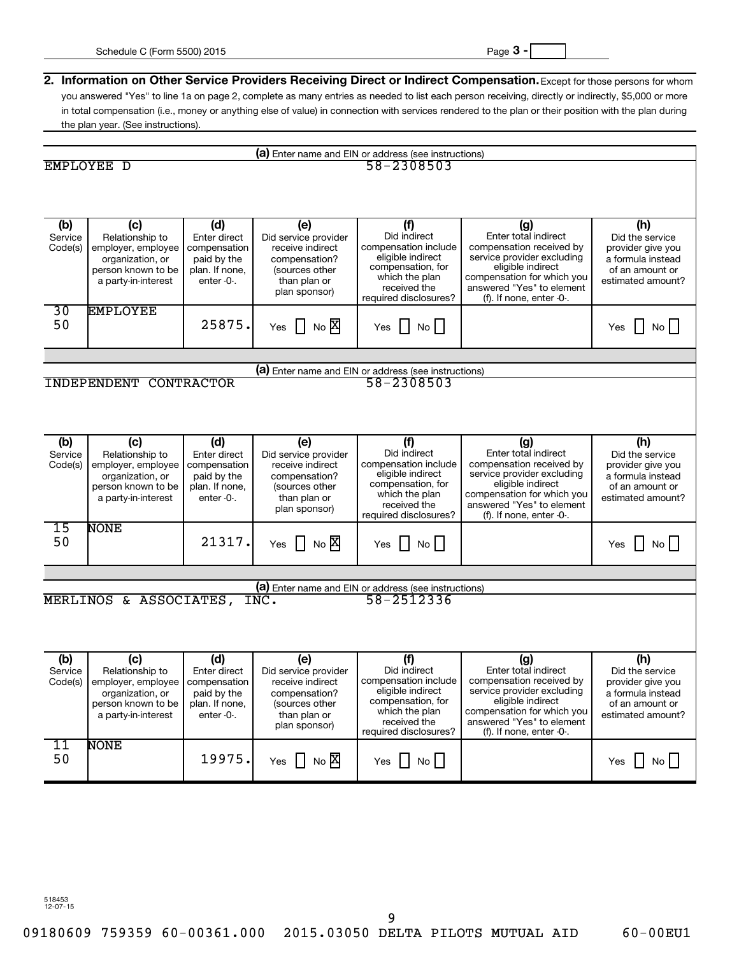| (a) Enter name and EIN or address (see instructions) |                                               |                              |                                          |                                                      |                                                  |                                      |
|------------------------------------------------------|-----------------------------------------------|------------------------------|------------------------------------------|------------------------------------------------------|--------------------------------------------------|--------------------------------------|
|                                                      | EMPLOYEE D                                    |                              |                                          | 58-2308503                                           |                                                  |                                      |
|                                                      |                                               |                              |                                          |                                                      |                                                  |                                      |
|                                                      |                                               |                              |                                          |                                                      |                                                  |                                      |
|                                                      |                                               |                              |                                          |                                                      |                                                  |                                      |
| (b)                                                  | (c)                                           | (d)                          | (e)                                      | (f)                                                  | (g)                                              | (h)                                  |
| Service<br>Code(s)                                   | Relationship to<br>employer, employee         | Enter direct<br>compensation | Did service provider<br>receive indirect | Did indirect<br>compensation include                 | Enter total indirect<br>compensation received by | Did the service<br>provider give you |
|                                                      | organization, or                              | paid by the                  | compensation?                            | eligible indirect                                    | service provider excluding                       | a formula instead                    |
|                                                      | person known to be                            | plan. If none,               | (sources other                           | compensation, for<br>which the plan                  | eligible indirect<br>compensation for which you  | of an amount or                      |
|                                                      | a party-in-interest                           | enter -0-.                   | than plan or<br>plan sponsor)            | received the                                         | answered "Yes" to element                        | estimated amount?                    |
|                                                      |                                               |                              |                                          | required disclosures?                                | (f). If none, enter -0-.                         |                                      |
| 30                                                   | <b>EMPLOYEE</b>                               |                              |                                          |                                                      |                                                  |                                      |
| 50                                                   |                                               | 25875.                       | Yes $\Box$ No $\overline{X}$             | No<br>Yes                                            |                                                  | No<br>Yes                            |
|                                                      |                                               |                              |                                          |                                                      |                                                  |                                      |
|                                                      |                                               |                              |                                          |                                                      |                                                  |                                      |
|                                                      |                                               |                              |                                          | (a) Enter name and EIN or address (see instructions) |                                                  |                                      |
|                                                      | <b>INDEPENDENT CONTRACTOR</b>                 |                              |                                          | 58-2308503                                           |                                                  |                                      |
|                                                      |                                               |                              |                                          |                                                      |                                                  |                                      |
|                                                      |                                               |                              |                                          |                                                      |                                                  |                                      |
|                                                      |                                               |                              |                                          |                                                      |                                                  |                                      |
| (b)                                                  | (c)                                           | (d)                          | (e)                                      | (f)<br>Did indirect                                  | (g)<br>Enter total indirect                      | (h)                                  |
| Service<br>Code(s)                                   | Relationship to<br>employer, employee         | Enter direct<br>compensation | Did service provider<br>receive indirect | compensation include                                 | compensation received by                         | Did the service<br>provider give you |
|                                                      | organization, or                              | paid by the                  | compensation?                            | eligible indirect                                    | service provider excluding                       | a formula instead                    |
|                                                      | person known to be                            | plan. If none,               | (sources other                           | compensation, for<br>which the plan                  | eligible indirect<br>compensation for which you  | of an amount or                      |
|                                                      | a party-in-interest                           | enter $-0$ .                 | than plan or<br>plan sponsor)            | received the                                         | answered "Yes" to element                        | estimated amount?                    |
|                                                      |                                               |                              |                                          | required disclosures?                                | (f). If none, enter -0-.                         |                                      |
| $\overline{15}$                                      | <b>NONE</b>                                   |                              |                                          |                                                      |                                                  |                                      |
| 50                                                   |                                               | 21317.                       | Yes $\Box$ No $X$                        | No<br>Yes                                            |                                                  | No<br>Yes                            |
|                                                      |                                               |                              |                                          |                                                      |                                                  |                                      |
|                                                      |                                               |                              |                                          |                                                      |                                                  |                                      |
|                                                      |                                               |                              |                                          | (a) Enter name and EIN or address (see instructions) |                                                  |                                      |
|                                                      | MERLINOS & ASSOCIATES,                        |                              | INC.                                     | 58-2512336                                           |                                                  |                                      |
|                                                      |                                               |                              |                                          |                                                      |                                                  |                                      |
|                                                      |                                               |                              |                                          |                                                      |                                                  |                                      |
|                                                      |                                               |                              |                                          |                                                      |                                                  |                                      |
| (b)<br>Service                                       | (c)                                           | (d)                          | (e)                                      | (f)<br>Did indirect                                  | (g)<br>Enter total indirect                      | (h)                                  |
|                                                      | Relationship to<br>Code(s) employer, employee | Enter direct<br>compensation | Did service provider<br>receive indirect | compensation include                                 | compensation received by                         | Did the service<br>provider give you |
|                                                      | organization, or                              | paid by the                  | compensation?                            | eligible indirect                                    | service provider excluding                       | a formula instead                    |
|                                                      | person known to be                            | plan. If none,<br>enter -0-. | (sources other                           | compensation, for<br>which the plan                  | eligible indirect<br>compensation for which you  | of an amount or<br>estimated amount? |
|                                                      | a party-in-interest                           |                              | than plan or<br>plan sponsor)            | received the                                         | answered "Yes" to element                        |                                      |
|                                                      |                                               |                              |                                          | required disclosures?                                | (f). If none, enter $-0$ .                       |                                      |
| 11                                                   | <b>NONE</b>                                   |                              |                                          |                                                      |                                                  |                                      |
| 50                                                   |                                               | 19975.                       | $NO$ $\times$<br>Yes                     | No<br>Yes                                            |                                                  | No<br>Yes                            |
|                                                      |                                               |                              |                                          |                                                      |                                                  |                                      |

9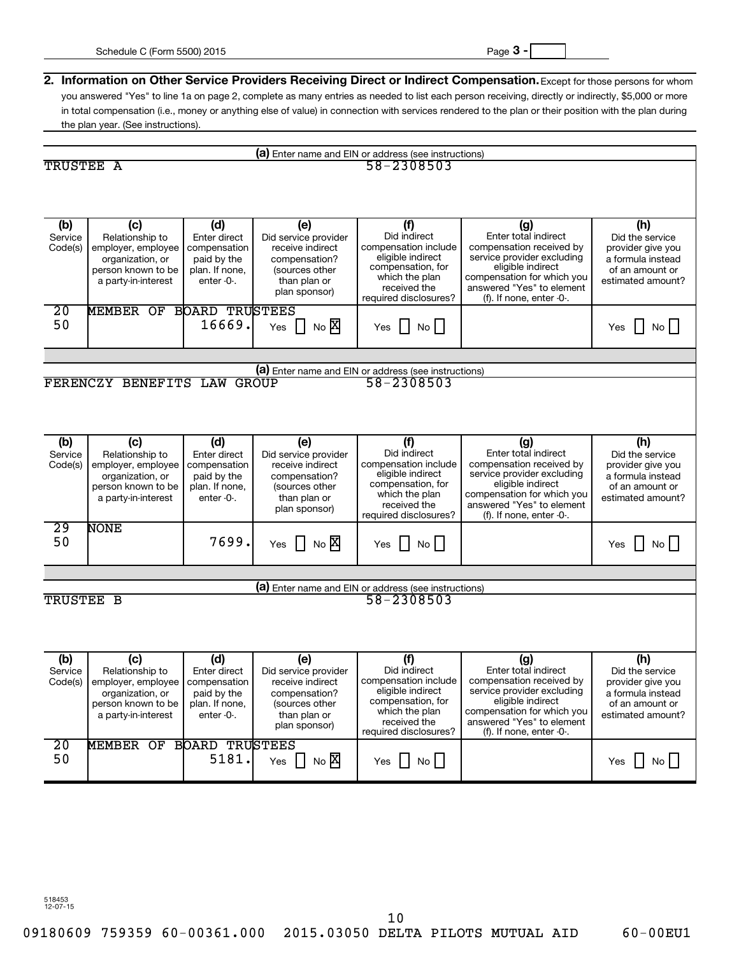| (a) Enter name and EIN or address (see instructions) |                                        |                               |                                          |                                                      |                                                         |                                        |
|------------------------------------------------------|----------------------------------------|-------------------------------|------------------------------------------|------------------------------------------------------|---------------------------------------------------------|----------------------------------------|
| TRUSTEE A                                            |                                        |                               |                                          | 58-2308503                                           |                                                         |                                        |
|                                                      |                                        |                               |                                          |                                                      |                                                         |                                        |
|                                                      |                                        |                               |                                          |                                                      |                                                         |                                        |
|                                                      |                                        |                               |                                          |                                                      |                                                         |                                        |
| (b)                                                  | (c)                                    | (d)                           | (e)                                      | (f)                                                  | (g)                                                     | (h)                                    |
| Service<br>Code(s)                                   | Relationship to<br>employer, employee  | Enter direct<br>compensation  | Did service provider<br>receive indirect | Did indirect<br>compensation include                 | Enter total indirect<br>compensation received by        | Did the service<br>provider give you   |
|                                                      | organization, or                       | paid by the                   | compensation?                            | eligible indirect                                    | service provider excluding                              | a formula instead                      |
|                                                      | person known to be                     | plan. If none.                | (sources other                           | compensation, for<br>which the plan                  | eligible indirect<br>compensation for which you         | of an amount or                        |
|                                                      | a party-in-interest                    | enter -0-.                    | than plan or<br>plan sponsor)            | received the                                         | answered "Yes" to element                               | estimated amount?                      |
|                                                      |                                        |                               |                                          | required disclosures?                                | (f). If none, enter $-0$ .                              |                                        |
| $\overline{20}$                                      | <b>MEMBER OF</b>                       | <b>BOARD TRUSTEES</b>         |                                          |                                                      |                                                         |                                        |
| 50                                                   |                                        | 16669.                        | $\prod$ No $X$<br>Yes                    | No<br>Yes                                            |                                                         | No<br>Yes                              |
|                                                      |                                        |                               |                                          |                                                      |                                                         |                                        |
|                                                      |                                        |                               |                                          |                                                      |                                                         |                                        |
|                                                      |                                        |                               |                                          | (a) Enter name and EIN or address (see instructions) |                                                         |                                        |
|                                                      | FERENCZY BENEFITS LAW                  |                               | <b>GROUP</b>                             | 58-2308503                                           |                                                         |                                        |
|                                                      |                                        |                               |                                          |                                                      |                                                         |                                        |
|                                                      |                                        |                               |                                          |                                                      |                                                         |                                        |
|                                                      |                                        |                               |                                          |                                                      |                                                         |                                        |
| (b)                                                  | (c)                                    | (d)                           | (e)                                      | (f)                                                  | (g)                                                     | (h)                                    |
| Service                                              | Relationship to                        | Enter direct                  | Did service provider                     | Did indirect                                         | Enter total indirect                                    | Did the service                        |
| Code(s)                                              | employer, employee<br>organization, or | compensation<br>paid by the   | receive indirect<br>compensation?        | compensation include<br>eligible indirect            | compensation received by<br>service provider excluding  | provider give you<br>a formula instead |
|                                                      | person known to be                     | plan. If none.                | (sources other                           | compensation, for                                    | eligible indirect                                       | of an amount or                        |
|                                                      | a party-in-interest                    | enter -0-.                    | than plan or                             | which the plan<br>received the                       | compensation for which you<br>answered "Yes" to element | estimated amount?                      |
|                                                      |                                        |                               | plan sponsor)                            | required disclosures?                                | (f). If none, enter $-0$ .                              |                                        |
| $\overline{29}$                                      | <b>NONE</b>                            |                               |                                          |                                                      |                                                         |                                        |
| 50                                                   |                                        | 7699.                         | $\prod$ No $\overline{X}$<br>Yes         | $\overline{N_{\circ}}$<br>Yes                        |                                                         | No<br>Yes                              |
|                                                      |                                        |                               |                                          |                                                      |                                                         |                                        |
|                                                      |                                        |                               |                                          |                                                      |                                                         |                                        |
|                                                      |                                        |                               |                                          | (a) Enter name and EIN or address (see instructions) |                                                         |                                        |
| TRUSTEE B                                            |                                        |                               |                                          | 58-2308503                                           |                                                         |                                        |
|                                                      |                                        |                               |                                          |                                                      |                                                         |                                        |
|                                                      |                                        |                               |                                          |                                                      |                                                         |                                        |
|                                                      |                                        |                               |                                          |                                                      |                                                         |                                        |
| (b)                                                  | (c)                                    | (d)                           | (e)                                      | (f)                                                  | (g)                                                     | (h)                                    |
| Service                                              | Relationship to                        | Enter direct                  | Did service provider                     | Did indirect                                         | Enter total indirect                                    | Did the service                        |
|                                                      | Code(s) employer, employee             | compensation                  | receive indirect                         | compensation include<br>eligible indirect            | compensation received by<br>service provider excluding  | provider give you                      |
|                                                      | organization, or<br>person known to be | paid by the<br>plan. If none, | compensation?<br>(sources other          | compensation, for                                    | eligible indirect                                       | a formula instead<br>of an amount or   |
|                                                      | a party-in-interest                    | enter $-0$ .                  | than plan or                             | which the plan                                       | compensation for which you                              | estimated amount?                      |
|                                                      |                                        |                               | plan sponsor)                            | received the<br>required disclosures?                | answered "Yes" to element<br>(f). If none, enter $-0$ . |                                        |
| $\overline{20}$                                      | MEMBER OF BOARD                        |                               | <b>TRUSTEES</b>                          |                                                      |                                                         |                                        |
| 50                                                   |                                        | 5181.                         | $\Box$ No $\boxtimes$<br>Yes             | No<br>Yes                                            |                                                         | No<br>Yes                              |
|                                                      |                                        |                               |                                          |                                                      |                                                         |                                        |

518453 12-07-15

09180609 759359 60-00361.000 2015.03050 DELTA PILOTS MUTUAL AID 60-00EU1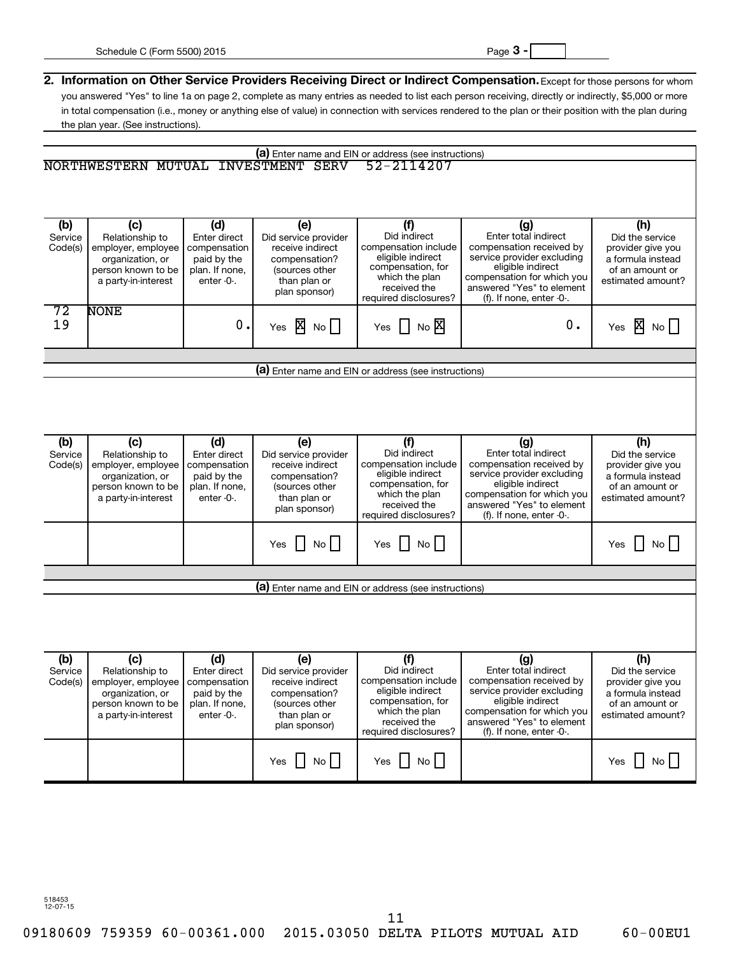|                           | (a) Enter name and EIN or address (see instructions)                                                          |                                                                                    |                                                                                                                     |                                                                                                                                                  |                                                                                                                                                                                                   |                                                                                                          |
|---------------------------|---------------------------------------------------------------------------------------------------------------|------------------------------------------------------------------------------------|---------------------------------------------------------------------------------------------------------------------|--------------------------------------------------------------------------------------------------------------------------------------------------|---------------------------------------------------------------------------------------------------------------------------------------------------------------------------------------------------|----------------------------------------------------------------------------------------------------------|
|                           | NORTHWESTERN MUTUAL                                                                                           |                                                                                    | <b>INVESTMENT SERV</b>                                                                                              | 52-2114207                                                                                                                                       |                                                                                                                                                                                                   |                                                                                                          |
|                           |                                                                                                               |                                                                                    |                                                                                                                     |                                                                                                                                                  |                                                                                                                                                                                                   |                                                                                                          |
|                           |                                                                                                               |                                                                                    |                                                                                                                     |                                                                                                                                                  |                                                                                                                                                                                                   |                                                                                                          |
| (b)<br>Service<br>Code(s) | (c)<br>Relationship to<br>employer, employee<br>organization, or<br>person known to be<br>a party-in-interest | (d)<br>Enter direct<br>compensation<br>paid by the<br>plan. If none,<br>enter -0-. | (e)<br>Did service provider<br>receive indirect<br>compensation?<br>(sources other<br>than plan or<br>plan sponsor) | (f)<br>Did indirect<br>compensation include<br>eligible indirect<br>compensation, for<br>which the plan<br>received the<br>required disclosures? | (g)<br>Enter total indirect<br>compensation received by<br>service provider excluding<br>eligible indirect<br>compensation for which you<br>answered "Yes" to element<br>(f). If none, enter -0-. | (h)<br>Did the service<br>provider give you<br>a formula instead<br>of an amount or<br>estimated amount? |
| 72<br>19                  | <b>NONE</b>                                                                                                   | $\mathbf 0$ .                                                                      | Yes $\overline{\mathbf{X}}$ No $\Box$                                                                               | $No$ $\overline{X}$<br>Yes                                                                                                                       | 0.                                                                                                                                                                                                | Yes $\overline{\mathbf{X}}$ No $\Box$                                                                    |
|                           |                                                                                                               |                                                                                    |                                                                                                                     |                                                                                                                                                  |                                                                                                                                                                                                   |                                                                                                          |
|                           |                                                                                                               |                                                                                    |                                                                                                                     | (a) Enter name and EIN or address (see instructions)                                                                                             |                                                                                                                                                                                                   |                                                                                                          |
|                           |                                                                                                               |                                                                                    |                                                                                                                     |                                                                                                                                                  |                                                                                                                                                                                                   |                                                                                                          |
|                           |                                                                                                               |                                                                                    |                                                                                                                     |                                                                                                                                                  |                                                                                                                                                                                                   |                                                                                                          |
|                           |                                                                                                               |                                                                                    |                                                                                                                     |                                                                                                                                                  |                                                                                                                                                                                                   |                                                                                                          |
| (b)<br>Service<br>Code(s) | (c)<br>Relationship to<br>employer, employee                                                                  | (d)<br>Enter direct<br>compensation                                                | (e)<br>Did service provider<br>receive indirect                                                                     | (f)<br>Did indirect<br>compensation include<br>eligible indirect                                                                                 | (g)<br>Enter total indirect<br>compensation received by<br>service provider excluding                                                                                                             | (h)<br>Did the service<br>provider give you                                                              |
|                           | organization, or<br>person known to be<br>a party-in-interest                                                 | paid by the<br>plan. If none,<br>enter -0-.                                        | compensation?<br>(sources other<br>than plan or<br>plan sponsor)                                                    | compensation, for<br>which the plan<br>received the<br>required disclosures?                                                                     | eligible indirect<br>compensation for which you<br>answered "Yes" to element<br>(f). If none, enter $-0$ .                                                                                        | a formula instead<br>of an amount or<br>estimated amount?                                                |
|                           |                                                                                                               |                                                                                    | Yes $\Box$ No $\Box$                                                                                                | No<br>Yes                                                                                                                                        |                                                                                                                                                                                                   | No<br>Yes                                                                                                |
|                           |                                                                                                               |                                                                                    |                                                                                                                     |                                                                                                                                                  |                                                                                                                                                                                                   |                                                                                                          |
|                           |                                                                                                               |                                                                                    |                                                                                                                     | (a) Enter name and EIN or address (see instructions)                                                                                             |                                                                                                                                                                                                   |                                                                                                          |
|                           |                                                                                                               |                                                                                    |                                                                                                                     |                                                                                                                                                  |                                                                                                                                                                                                   |                                                                                                          |
| (b)                       | (c)                                                                                                           | (d)                                                                                | (e)                                                                                                                 | (f)                                                                                                                                              | (g)                                                                                                                                                                                               | (h)                                                                                                      |
| Service<br>Code(s)        | Relationship to<br>employer, employee   compensation                                                          | Enter direct                                                                       | Did service provider<br>receive indirect                                                                            | Did indirect<br>compensation include                                                                                                             | Enter total indirect<br>compensation received by                                                                                                                                                  | Did the service<br>provider give you                                                                     |
|                           | organization, or                                                                                              | paid by the                                                                        | compensation?                                                                                                       | eligible indirect                                                                                                                                | service provider excluding                                                                                                                                                                        | a formula instead                                                                                        |
|                           | person known to be<br>a party-in-interest                                                                     | plan. If none,<br>enter $-0$ .                                                     | (sources other<br>than plan or                                                                                      | compensation, for<br>which the plan                                                                                                              | eligible indirect<br>compensation for which you                                                                                                                                                   | of an amount or<br>estimated amount?                                                                     |
|                           |                                                                                                               |                                                                                    | plan sponsor)                                                                                                       | received the<br>required disclosures?                                                                                                            | answered "Yes" to element<br>(f). If none, enter $-0$ .                                                                                                                                           |                                                                                                          |
|                           |                                                                                                               |                                                                                    |                                                                                                                     |                                                                                                                                                  |                                                                                                                                                                                                   |                                                                                                          |
|                           |                                                                                                               |                                                                                    | Yes $\Box$ No $\Box$                                                                                                | No<br>Yes                                                                                                                                        |                                                                                                                                                                                                   | No<br>Yes                                                                                                |
|                           |                                                                                                               |                                                                                    |                                                                                                                     |                                                                                                                                                  |                                                                                                                                                                                                   |                                                                                                          |

11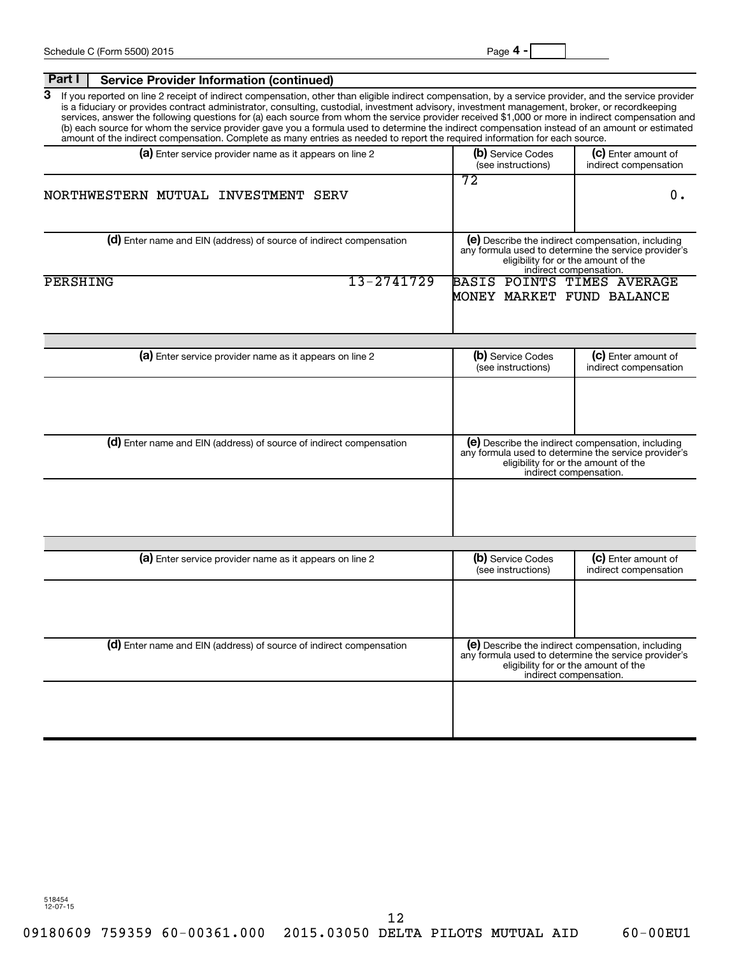| Part I<br><b>Service Provider Information (continued)</b>                                                                                                                                                                                                                                                                                                                                                                                                                                                                                                                                                                                                                                                                                           |                                                         |                                                                                                                                                                             |
|-----------------------------------------------------------------------------------------------------------------------------------------------------------------------------------------------------------------------------------------------------------------------------------------------------------------------------------------------------------------------------------------------------------------------------------------------------------------------------------------------------------------------------------------------------------------------------------------------------------------------------------------------------------------------------------------------------------------------------------------------------|---------------------------------------------------------|-----------------------------------------------------------------------------------------------------------------------------------------------------------------------------|
| 3<br>If you reported on line 2 receipt of indirect compensation, other than eligible indirect compensation, by a service provider, and the service provider<br>is a fiduciary or provides contract administrator, consulting, custodial, investment advisory, investment management, broker, or recordkeeping<br>services, answer the following questions for (a) each source from whom the service provider received \$1,000 or more in indirect compensation and<br>(b) each source for whom the service provider gave you a formula used to determine the indirect compensation instead of an amount or estimated<br>amount of the indirect compensation. Complete as many entries as needed to report the required information for each source. |                                                         |                                                                                                                                                                             |
| (a) Enter service provider name as it appears on line 2                                                                                                                                                                                                                                                                                                                                                                                                                                                                                                                                                                                                                                                                                             | (b) Service Codes<br>(see instructions)                 | (c) Enter amount of<br>indirect compensation                                                                                                                                |
| NORTHWESTERN MUTUAL INVESTMENT SERV                                                                                                                                                                                                                                                                                                                                                                                                                                                                                                                                                                                                                                                                                                                 | 72                                                      | 0.                                                                                                                                                                          |
| (d) Enter name and EIN (address) of source of indirect compensation                                                                                                                                                                                                                                                                                                                                                                                                                                                                                                                                                                                                                                                                                 |                                                         | (e) Describe the indirect compensation, including<br>any formula used to determine the service provider's<br>eligibility for or the amount of the<br>indirect compensation. |
| 13-2741729<br>PERSHING                                                                                                                                                                                                                                                                                                                                                                                                                                                                                                                                                                                                                                                                                                                              | BASIS POINTS TIMES AVERAGE<br>MONEY MARKET FUND BALANCE |                                                                                                                                                                             |
| (a) Enter service provider name as it appears on line 2                                                                                                                                                                                                                                                                                                                                                                                                                                                                                                                                                                                                                                                                                             | (b) Service Codes<br>(see instructions)                 | (C) Enter amount of<br>indirect compensation                                                                                                                                |
|                                                                                                                                                                                                                                                                                                                                                                                                                                                                                                                                                                                                                                                                                                                                                     |                                                         |                                                                                                                                                                             |
| (d) Enter name and EIN (address) of source of indirect compensation                                                                                                                                                                                                                                                                                                                                                                                                                                                                                                                                                                                                                                                                                 |                                                         | (e) Describe the indirect compensation, including<br>any formula used to determine the service provider's<br>eligibility for or the amount of the<br>indirect compensation. |
|                                                                                                                                                                                                                                                                                                                                                                                                                                                                                                                                                                                                                                                                                                                                                     |                                                         |                                                                                                                                                                             |
| (a) Enter service provider name as it appears on line 2                                                                                                                                                                                                                                                                                                                                                                                                                                                                                                                                                                                                                                                                                             | (b) Service Codes<br>(see instructions)                 | (c) Enter amount of<br>indirect compensation                                                                                                                                |
|                                                                                                                                                                                                                                                                                                                                                                                                                                                                                                                                                                                                                                                                                                                                                     |                                                         |                                                                                                                                                                             |
| (d) Enter name and EIN (address) of source of indirect compensation                                                                                                                                                                                                                                                                                                                                                                                                                                                                                                                                                                                                                                                                                 |                                                         | (e) Describe the indirect compensation, including<br>any formula used to determine the service provider's<br>eligibility for or the amount of the<br>indirect compensation. |
|                                                                                                                                                                                                                                                                                                                                                                                                                                                                                                                                                                                                                                                                                                                                                     |                                                         |                                                                                                                                                                             |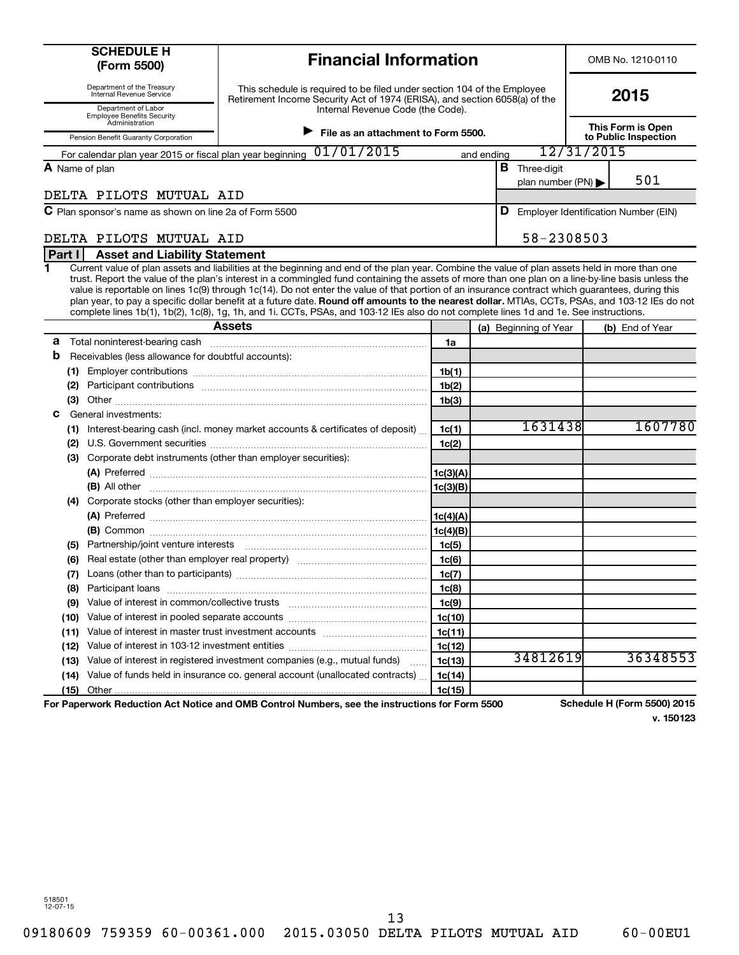| <b>SCHEDULE H</b><br>(Form 5500)                                              | <b>Financial Information</b>                                                                                                                                                                                                                                                                                                                                                                                                                                                                                                                                                                                                                                                                                                                          |                    |            |                                          |            | OMB No. 1210-0110                    |
|-------------------------------------------------------------------------------|-------------------------------------------------------------------------------------------------------------------------------------------------------------------------------------------------------------------------------------------------------------------------------------------------------------------------------------------------------------------------------------------------------------------------------------------------------------------------------------------------------------------------------------------------------------------------------------------------------------------------------------------------------------------------------------------------------------------------------------------------------|--------------------|------------|------------------------------------------|------------|--------------------------------------|
| Department of the Treasury<br>Internal Revenue Service<br>Department of Labor | This schedule is required to be filed under section 104 of the Employee<br>Retirement Income Security Act of 1974 (ERISA), and section 6058(a) of the<br>Internal Revenue Code (the Code).                                                                                                                                                                                                                                                                                                                                                                                                                                                                                                                                                            |                    |            |                                          | 2015       |                                      |
| <b>Employee Benefits Security</b><br>Administration                           | $\blacktriangleright$ File as an attachment to Form 5500.                                                                                                                                                                                                                                                                                                                                                                                                                                                                                                                                                                                                                                                                                             |                    |            |                                          |            | This Form is Open                    |
| Pension Benefit Guaranty Corporation                                          | 01/01/2015                                                                                                                                                                                                                                                                                                                                                                                                                                                                                                                                                                                                                                                                                                                                            |                    |            |                                          | 12/31/2015 | to Public Inspection                 |
| For calendar plan year 2015 or fiscal plan year beginning                     |                                                                                                                                                                                                                                                                                                                                                                                                                                                                                                                                                                                                                                                                                                                                                       |                    | and ending |                                          |            |                                      |
| A Name of plan                                                                |                                                                                                                                                                                                                                                                                                                                                                                                                                                                                                                                                                                                                                                                                                                                                       |                    |            | <b>B</b> Three-digit<br>plan number (PN) |            | 501                                  |
| DELTA PILOTS MUTUAL AID                                                       |                                                                                                                                                                                                                                                                                                                                                                                                                                                                                                                                                                                                                                                                                                                                                       |                    |            |                                          |            |                                      |
| C Plan sponsor's name as shown on line 2a of Form 5500                        |                                                                                                                                                                                                                                                                                                                                                                                                                                                                                                                                                                                                                                                                                                                                                       |                    |            | D                                        |            | Employer Identification Number (EIN) |
|                                                                               |                                                                                                                                                                                                                                                                                                                                                                                                                                                                                                                                                                                                                                                                                                                                                       |                    |            |                                          |            |                                      |
| DELTA PILOTS MUTUAL AID                                                       |                                                                                                                                                                                                                                                                                                                                                                                                                                                                                                                                                                                                                                                                                                                                                       |                    |            | 58-2308503                               |            |                                      |
| Part I<br><b>Asset and Liability Statement</b>                                |                                                                                                                                                                                                                                                                                                                                                                                                                                                                                                                                                                                                                                                                                                                                                       |                    |            |                                          |            |                                      |
|                                                                               | Current value of plan assets and liabilities at the beginning and end of the plan year. Combine the value of plan assets held in more than one<br>trust. Report the value of the plan's interest in a commingled fund containing the assets of more than one plan on a line-by-line basis unless the<br>value is reportable on lines 1c(9) through 1c(14). Do not enter the value of that portion of an insurance contract which guarantees, during this<br>plan year, to pay a specific dollar benefit at a future date. Round off amounts to the nearest dollar. MTIAs, CCTs, PSAs, and 103-12 IEs do not<br>complete lines 1b(1), 1b(2), 1c(8), 1g, 1h, and 1i. CCTs, PSAs, and 103-12 IEs also do not complete lines 1d and 1e. See instructions. |                    |            |                                          |            |                                      |
|                                                                               | <b>Assets</b>                                                                                                                                                                                                                                                                                                                                                                                                                                                                                                                                                                                                                                                                                                                                         |                    |            | (a) Beginning of Year                    |            | (b) End of Year                      |
| а                                                                             |                                                                                                                                                                                                                                                                                                                                                                                                                                                                                                                                                                                                                                                                                                                                                       | 1a                 |            |                                          |            |                                      |
| b<br>Receivables (less allowance for doubtful accounts):                      |                                                                                                                                                                                                                                                                                                                                                                                                                                                                                                                                                                                                                                                                                                                                                       |                    |            |                                          |            |                                      |
|                                                                               |                                                                                                                                                                                                                                                                                                                                                                                                                                                                                                                                                                                                                                                                                                                                                       | 1b(1)              |            |                                          |            |                                      |
| (2)                                                                           |                                                                                                                                                                                                                                                                                                                                                                                                                                                                                                                                                                                                                                                                                                                                                       | 1 <sub>b</sub> (2) |            |                                          |            |                                      |
| (3)<br>General investments:<br>С                                              |                                                                                                                                                                                                                                                                                                                                                                                                                                                                                                                                                                                                                                                                                                                                                       | 1 <sub>b</sub> (3) |            |                                          |            |                                      |
|                                                                               | (1) Interest-bearing cash (incl. money market accounts & certificates of deposit)                                                                                                                                                                                                                                                                                                                                                                                                                                                                                                                                                                                                                                                                     | 1c(1)              |            | 1631438                                  |            | 1607780                              |
| (2)                                                                           |                                                                                                                                                                                                                                                                                                                                                                                                                                                                                                                                                                                                                                                                                                                                                       | 1c(2)              |            |                                          |            |                                      |
| Corporate debt instruments (other than employer securities):<br>(3)           |                                                                                                                                                                                                                                                                                                                                                                                                                                                                                                                                                                                                                                                                                                                                                       |                    |            |                                          |            |                                      |
|                                                                               | (A) Preferred <b>contract and the contract of the contract of the contract of the contract of the contract of the contract of the contract of the contract of the contract of the contract of the contract of the contract of th</b>                                                                                                                                                                                                                                                                                                                                                                                                                                                                                                                  |                    |            |                                          |            |                                      |
|                                                                               |                                                                                                                                                                                                                                                                                                                                                                                                                                                                                                                                                                                                                                                                                                                                                       |                    |            |                                          |            |                                      |
| Corporate stocks (other than employer securities):<br>(4)                     |                                                                                                                                                                                                                                                                                                                                                                                                                                                                                                                                                                                                                                                                                                                                                       |                    |            |                                          |            |                                      |
|                                                                               | (A) Preferred $\ldots$ 1c(4)(A)                                                                                                                                                                                                                                                                                                                                                                                                                                                                                                                                                                                                                                                                                                                       |                    |            |                                          |            |                                      |
|                                                                               |                                                                                                                                                                                                                                                                                                                                                                                                                                                                                                                                                                                                                                                                                                                                                       |                    |            |                                          |            |                                      |
| (5)                                                                           | Partnership/joint venture interests [111] [12] matter contracts [12] matter ship and the contracts and the contracts and the contracts and contracts and contracts and contracts and contracts and contracts and contracts and                                                                                                                                                                                                                                                                                                                                                                                                                                                                                                                        | 1c(5)              |            |                                          |            |                                      |
| (6)                                                                           |                                                                                                                                                                                                                                                                                                                                                                                                                                                                                                                                                                                                                                                                                                                                                       | 1c(6)              |            |                                          |            |                                      |
| Loans (other than to participants)<br>(7)                                     |                                                                                                                                                                                                                                                                                                                                                                                                                                                                                                                                                                                                                                                                                                                                                       | 1c(7)              |            |                                          |            |                                      |
| (8)                                                                           |                                                                                                                                                                                                                                                                                                                                                                                                                                                                                                                                                                                                                                                                                                                                                       | 1c(8)              |            |                                          |            |                                      |
| Value of interest in common/collective trusts<br>(9)                          |                                                                                                                                                                                                                                                                                                                                                                                                                                                                                                                                                                                                                                                                                                                                                       | 1c(9)              |            |                                          |            |                                      |
| (10)                                                                          |                                                                                                                                                                                                                                                                                                                                                                                                                                                                                                                                                                                                                                                                                                                                                       | 1c(10)             |            |                                          |            |                                      |
| (11)                                                                          | Value of interest in master trust investment accounts [[11, 11] value of interest in master trust investment accounts                                                                                                                                                                                                                                                                                                                                                                                                                                                                                                                                                                                                                                 | 1c(11)             |            |                                          |            |                                      |
| (12)                                                                          |                                                                                                                                                                                                                                                                                                                                                                                                                                                                                                                                                                                                                                                                                                                                                       | 1c(12)             |            | 34812619                                 |            | 36348553                             |
| (13)                                                                          | Value of interest in registered investment companies (e.g., mutual funds)                                                                                                                                                                                                                                                                                                                                                                                                                                                                                                                                                                                                                                                                             | 1c(13)             |            |                                          |            |                                      |
| (14)                                                                          | Value of funds held in insurance co. general account (unallocated contracts)                                                                                                                                                                                                                                                                                                                                                                                                                                                                                                                                                                                                                                                                          | 1c(14)             |            |                                          |            |                                      |
| (15)                                                                          | For Paperwork Reduction Act Notice and OMB Control Numbers, see the instructions for Form 5500                                                                                                                                                                                                                                                                                                                                                                                                                                                                                                                                                                                                                                                        | 1c(15)             |            |                                          |            | Schedule H (Form 5500) 2015          |

**v. 150123**

518501 12-07-15

09180609 759359 60-00361.000 2015.03050 DELTA PILOTS MUTUAL AID 60-00EU1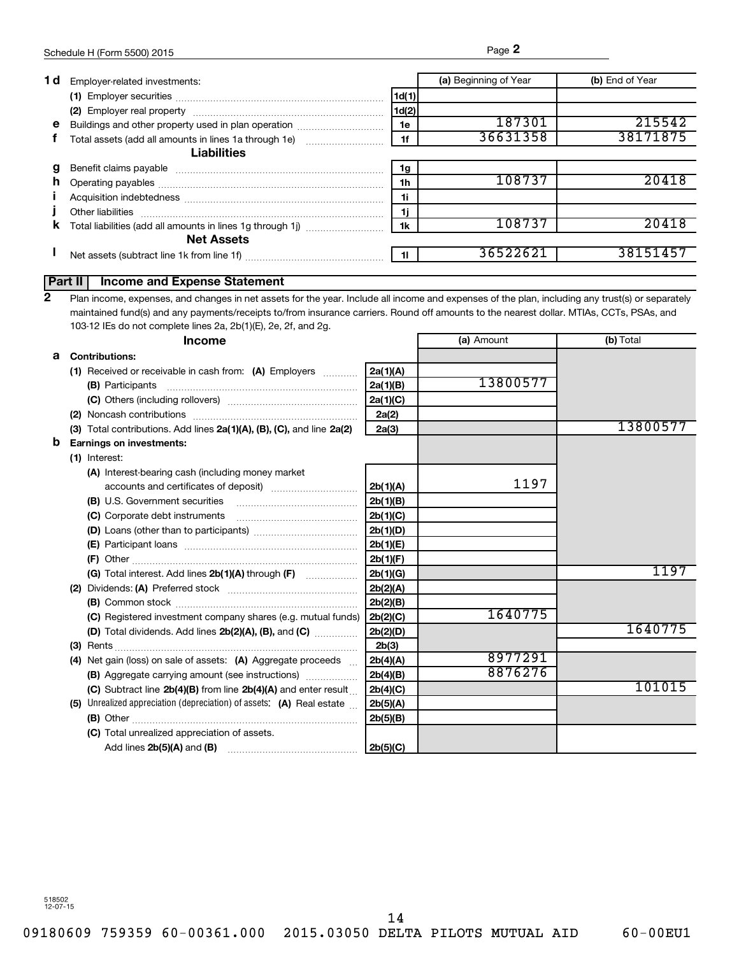| 1 d | Employer-related investments:                              |       | (a) Beginning of Year | (b) End of Year |
|-----|------------------------------------------------------------|-------|-----------------------|-----------------|
|     |                                                            | 1d(1) |                       |                 |
|     |                                                            | 1d(2) |                       |                 |
| е   | Buildings and other property used in plan operation        | 1e    | 187301                | 215542          |
|     | Total assets (add all amounts in lines 1a through 1e)      | 1f    | 36631358              | 38171875        |
|     | <b>Liabilities</b>                                         |       |                       |                 |
|     |                                                            | 1g    |                       |                 |
| n.  |                                                            | 1h    | 108737                | 20418           |
|     |                                                            | 1i    |                       |                 |
|     | Other liabilities                                          | 1j    |                       |                 |
| ĸ   | Total liabilities (add all amounts in lines 1g through 1j) | 1k    | 108737                |                 |
|     | <b>Net Assets</b>                                          |       |                       |                 |
|     |                                                            | - 11  | 3652262               |                 |
|     |                                                            |       |                       |                 |

## **Part II Income and Expense Statement**

Plan income, expenses, and changes in net assets for the year. Include all income and expenses of the plan, including any trust(s) or separately maintained fund(s) and any payments/receipts to/from insurance carriers. Round off amounts to the nearest dollar. MTIAs, CCTs, PSAs, and 103-12 IEs do not complete lines 2a, 2b(1)(E), 2e, 2f, and 2g. **2**

|   | <b>Income</b>                                                         |          | (a) Amount | (b) Total |
|---|-----------------------------------------------------------------------|----------|------------|-----------|
| a | <b>Contributions:</b>                                                 |          |            |           |
|   | (1) Received or receivable in cash from: (A) Employers                | 2a(1)(A) |            |           |
|   | (B) Participants                                                      | 2a(1)(B) | 13800577   |           |
|   |                                                                       | 2a(1)(C) |            |           |
|   |                                                                       | 2a(2)    |            |           |
|   | (3) Total contributions. Add lines 2a(1)(A), (B), (C), and line 2a(2) | 2a(3)    |            | 13800577  |
| b | <b>Earnings on investments:</b>                                       |          |            |           |
|   | (1) Interest:                                                         |          |            |           |
|   | (A) Interest-bearing cash (including money market                     |          |            |           |
|   |                                                                       | 2b(1)(A) | 1197       |           |
|   | (B) U.S. Government securities                                        | 2b(1)(B) |            |           |
|   | (C) Corporate debt instruments                                        | 2b(1)(C) |            |           |
|   |                                                                       | 2b(1)(D) |            |           |
|   |                                                                       | 2b(1)(E) |            |           |
|   |                                                                       | 2b(1)(F) |            |           |
|   |                                                                       | 2b(1)(G) |            | 1197      |
|   |                                                                       | 2b(2)(A) |            |           |
|   |                                                                       | 2b(2)(B) |            |           |
|   | (C) Registered investment company shares (e.g. mutual funds)          | 2b(2)(C) | 1640775    |           |
|   | (D) Total dividends. Add lines $2b(2)(A)$ , $(B)$ , and $(C)$         | 2b(2)(D) |            | 1640775   |
|   |                                                                       | 2b(3)    |            |           |
|   | Net gain (loss) on sale of assets: (A) Aggregate proceeds<br>(4)      | 2b(4)(A) | 8977291    |           |
|   | (B) Aggregate carrying amount (see instructions)                      | 2b(4)(B) | 8876276    |           |
|   | (C) Subtract line 2b(4)(B) from line 2b(4)(A) and enter result        | 2b(4)(C) |            | 101015    |
|   | (5) Unrealized appreciation (depreciation) of assets: (A) Real estate | 2b(5)(A) |            |           |
|   |                                                                       | 2b(5)(B) |            |           |
|   | (C) Total unrealized appreciation of assets.                          |          |            |           |
|   | Add lines $2b(5)(A)$ and $(B)$                                        | 2b(5)(C) |            |           |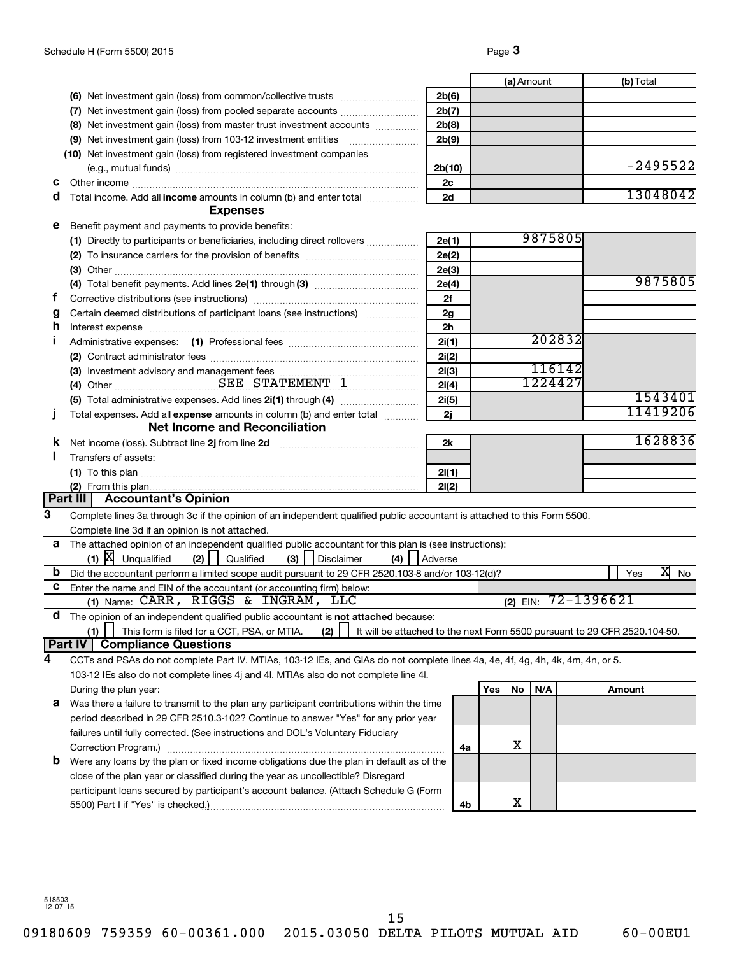|   |                                                                                                                                                                                                                                |                |     | (a) Amount |         |            | (b) Total |            |
|---|--------------------------------------------------------------------------------------------------------------------------------------------------------------------------------------------------------------------------------|----------------|-----|------------|---------|------------|-----------|------------|
|   |                                                                                                                                                                                                                                | 2b(6)          |     |            |         |            |           |            |
|   | (7) Net investment gain (loss) from pooled separate accounts <i>manuality</i> Net investment gain (loss) from pooled separate accounts                                                                                         | 2b(7)          |     |            |         |            |           |            |
|   | (8) Net investment gain (loss) from master trust investment accounts                                                                                                                                                           | 2b(8)          |     |            |         |            |           |            |
|   |                                                                                                                                                                                                                                | 2b(9)          |     |            |         |            |           |            |
|   | (10) Net investment gain (loss) from registered investment companies                                                                                                                                                           |                |     |            |         |            |           |            |
|   |                                                                                                                                                                                                                                | 2b(10)         |     |            |         |            |           | $-2495522$ |
| с |                                                                                                                                                                                                                                | 2c             |     |            |         |            |           |            |
| d | Total income. Add all income amounts in column (b) and enter total <i></i><br><b>Expenses</b>                                                                                                                                  | 2d             |     |            |         |            |           | 13048042   |
| е | Benefit payment and payments to provide benefits:                                                                                                                                                                              |                |     |            |         |            |           |            |
|   |                                                                                                                                                                                                                                | 2e(1)          |     |            | 9875805 |            |           |            |
|   |                                                                                                                                                                                                                                | 2e(2)          |     |            |         |            |           |            |
|   |                                                                                                                                                                                                                                | 2e(3)          |     |            |         |            |           |            |
|   |                                                                                                                                                                                                                                | 2e(4)          |     |            |         |            |           | 9875805    |
| f |                                                                                                                                                                                                                                | 2f             |     |            |         |            |           |            |
| g | Certain deemed distributions of participant loans (see instructions)                                                                                                                                                           | 2g             |     |            |         |            |           |            |
| h | Interest expense immunication and the contract of the contract of the contract of the contract of the contract of the contract of the contract of the contract of the contract of the contract of the contract of the contract | 2 <sub>h</sub> |     |            |         |            |           |            |
|   |                                                                                                                                                                                                                                | 2i(1)          |     |            | 202832  |            |           |            |
|   |                                                                                                                                                                                                                                | 2i(2)          |     |            |         |            |           |            |
|   |                                                                                                                                                                                                                                | 2i(3)          |     |            | 116142  |            |           |            |
|   | (4) Other <b>CONSEX STATEMENT</b> 1                                                                                                                                                                                            | 2i(4)          |     |            | 1224427 |            |           |            |
|   |                                                                                                                                                                                                                                | 2i(5)          |     |            |         |            |           | 1543401    |
|   | Total expenses. Add all expense amounts in column (b) and enter total <i></i>                                                                                                                                                  | 2j             |     |            |         |            |           | 11419206   |
|   | <b>Net Income and Reconciliation</b>                                                                                                                                                                                           |                |     |            |         |            |           |            |
| ĸ | Net income (loss). Subtract line 2j from line 2d [10] [10] Met income (loss).                                                                                                                                                  | 2k             |     |            |         |            |           | 1628836    |
|   | Transfers of assets:                                                                                                                                                                                                           |                |     |            |         |            |           |            |
|   |                                                                                                                                                                                                                                | 2I(1)          |     |            |         |            |           |            |
|   | (2) From this plan.<br>Part III   Accountant's Opinion                                                                                                                                                                         | 2I(2)          |     |            |         |            |           |            |
| 3 | Complete lines 3a through 3c if the opinion of an independent qualified public accountant is attached to this Form 5500.                                                                                                       |                |     |            |         |            |           |            |
|   | Complete line 3d if an opinion is not attached.                                                                                                                                                                                |                |     |            |         |            |           |            |
| a | The attached opinion of an independent qualified public accountant for this plan is (see instructions):                                                                                                                        |                |     |            |         |            |           |            |
|   | $(1)$ $[X]$ Unqualified<br>(2)<br>(3)<br>Qualified<br>Disclaimer<br>(4)<br>Adverse                                                                                                                                             |                |     |            |         |            |           |            |
| b | Did the accountant perform a limited scope audit pursuant to 29 CFR 2520.103-8 and/or 103-12(d)?                                                                                                                               |                |     |            |         |            | Yes       | x<br>No    |
| c | Enter the name and EIN of the accountant (or accounting firm) below:                                                                                                                                                           |                |     |            |         |            |           |            |
|   | (1) Name: CARR, RIGGS & INGRAM, LLC                                                                                                                                                                                            |                |     | $(2)$ EIN: |         | 72-1396621 |           |            |
| a | The opinion of an independent qualified public accountant is not attached because:                                                                                                                                             |                |     |            |         |            |           |            |
|   | (1)<br>This form is filed for a CCT, PSA, or MTIA.<br>(2)<br>It will be attached to the next Form 5500 pursuant to 29 CFR 2520.104-50.                                                                                         |                |     |            |         |            |           |            |
|   | Part IV<br><b>Compliance Questions</b>                                                                                                                                                                                         |                |     |            |         |            |           |            |
| 4 | CCTs and PSAs do not complete Part IV. MTIAs, 103-12 IEs, and GIAs do not complete lines 4a, 4e, 4f, 4g, 4h, 4k, 4m, 4n, or 5.                                                                                                 |                |     |            |         |            |           |            |
|   | 103-12 IEs also do not complete lines 4j and 4l. MTIAs also do not complete line 4l.                                                                                                                                           |                |     |            |         |            |           |            |
|   | During the plan year:                                                                                                                                                                                                          |                | Yes | No         | N/A     |            | Amount    |            |
| а | Was there a failure to transmit to the plan any participant contributions within the time                                                                                                                                      |                |     |            |         |            |           |            |
|   | period described in 29 CFR 2510.3-102? Continue to answer "Yes" for any prior year                                                                                                                                             |                |     |            |         |            |           |            |
|   | failures until fully corrected. (See instructions and DOL's Voluntary Fiduciary                                                                                                                                                |                |     |            |         |            |           |            |
|   |                                                                                                                                                                                                                                | 4a             |     | х          |         |            |           |            |
| b | Were any loans by the plan or fixed income obligations due the plan in default as of the                                                                                                                                       |                |     |            |         |            |           |            |
|   | close of the plan year or classified during the year as uncollectible? Disregard                                                                                                                                               |                |     |            |         |            |           |            |
|   | participant loans secured by participant's account balance. (Attach Schedule G (Form                                                                                                                                           |                |     |            |         |            |           |            |
|   |                                                                                                                                                                                                                                | 4b             |     | х          |         |            |           |            |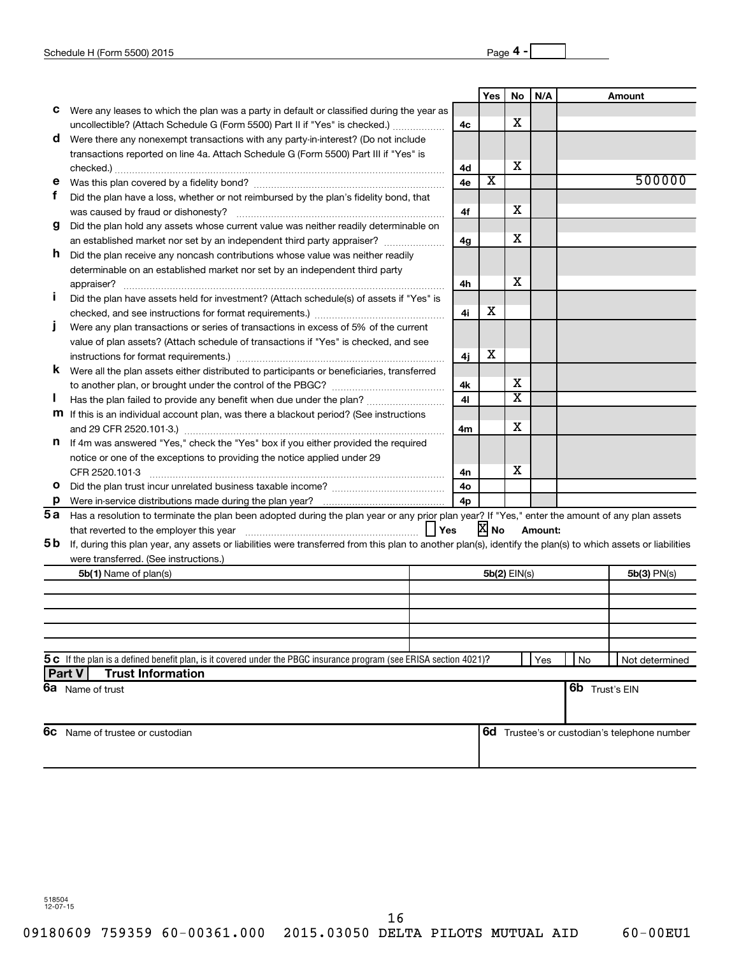|         |                                                                                                                                                              |                      | Yes                     | No | N/A     |    | Amount                                              |
|---------|--------------------------------------------------------------------------------------------------------------------------------------------------------------|----------------------|-------------------------|----|---------|----|-----------------------------------------------------|
| c       | Were any leases to which the plan was a party in default or classified during the year as                                                                    |                      |                         |    |         |    |                                                     |
|         | uncollectible? (Attach Schedule G (Form 5500) Part II if "Yes" is checked.)                                                                                  | 4c                   |                         | х  |         |    |                                                     |
| d       | Were there any nonexempt transactions with any party-in-interest? (Do not include                                                                            |                      |                         |    |         |    |                                                     |
|         | transactions reported on line 4a. Attach Schedule G (Form 5500) Part III if "Yes" is                                                                         |                      |                         |    |         |    |                                                     |
|         |                                                                                                                                                              | 4d                   |                         | х  |         |    |                                                     |
| е       |                                                                                                                                                              | 4e                   | $\overline{\mathbf{X}}$ |    |         |    | 500000                                              |
| f       | Did the plan have a loss, whether or not reimbursed by the plan's fidelity bond, that                                                                        |                      |                         |    |         |    |                                                     |
|         | was caused by fraud or dishonesty?                                                                                                                           | 4f                   |                         | x  |         |    |                                                     |
| g       | Did the plan hold any assets whose current value was neither readily determinable on                                                                         |                      |                         |    |         |    |                                                     |
|         | an established market nor set by an independent third party appraiser?                                                                                       | 4g                   |                         | x  |         |    |                                                     |
| h.      | Did the plan receive any noncash contributions whose value was neither readily                                                                               |                      |                         |    |         |    |                                                     |
|         | determinable on an established market nor set by an independent third party                                                                                  |                      |                         |    |         |    |                                                     |
|         | appraiser?                                                                                                                                                   | 4h                   |                         | х  |         |    |                                                     |
|         | Did the plan have assets held for investment? (Attach schedule(s) of assets if "Yes" is                                                                      |                      |                         |    |         |    |                                                     |
|         |                                                                                                                                                              | 4i                   | х                       |    |         |    |                                                     |
|         | Were any plan transactions or series of transactions in excess of 5% of the current                                                                          |                      |                         |    |         |    |                                                     |
|         | value of plan assets? (Attach schedule of transactions if "Yes" is checked, and see                                                                          |                      |                         |    |         |    |                                                     |
|         |                                                                                                                                                              | 4j                   | X                       |    |         |    |                                                     |
| K       | Were all the plan assets either distributed to participants or beneficiaries, transferred                                                                    |                      |                         | x  |         |    |                                                     |
|         |                                                                                                                                                              | 4k                   |                         | х  |         |    |                                                     |
|         | Has the plan failed to provide any benefit when due under the plan?                                                                                          | 41                   |                         |    |         |    |                                                     |
|         | <b>m</b> If this is an individual account plan, was there a blackout period? (See instructions                                                               |                      |                         | x  |         |    |                                                     |
|         |                                                                                                                                                              | 4m                   |                         |    |         |    |                                                     |
| n       | If 4m was answered "Yes," check the "Yes" box if you either provided the required                                                                            |                      |                         |    |         |    |                                                     |
|         | notice or one of the exceptions to providing the notice applied under 29                                                                                     |                      |                         | x  |         |    |                                                     |
| o       | CFR 2520.101-3                                                                                                                                               | 4n                   |                         |    |         |    |                                                     |
|         |                                                                                                                                                              | 4о<br>4 <sub>p</sub> |                         |    |         |    |                                                     |
| p<br>5a | Has a resolution to terminate the plan been adopted during the plan year or any prior plan year? If "Yes," enter the amount of any plan assets               |                      |                         |    |         |    |                                                     |
|         |                                                                                                                                                              |                      | X No                    |    | Amount: |    |                                                     |
| 5 b     | If, during this plan year, any assets or liabilities were transferred from this plan to another plan(s), identify the plan(s) to which assets or liabilities |                      |                         |    |         |    |                                                     |
|         | were transferred. (See instructions.)                                                                                                                        |                      |                         |    |         |    |                                                     |
|         | <b>5b(1)</b> Name of plan(s)                                                                                                                                 |                      | 5b(2) EIN(s)            |    |         |    | 5b(3) PN(s)                                         |
|         |                                                                                                                                                              |                      |                         |    |         |    |                                                     |
|         |                                                                                                                                                              |                      |                         |    |         |    |                                                     |
|         |                                                                                                                                                              |                      |                         |    |         |    |                                                     |
|         |                                                                                                                                                              |                      |                         |    |         |    |                                                     |
|         |                                                                                                                                                              |                      |                         |    |         |    |                                                     |
|         | 5C If the plan is a defined benefit plan, is it covered under the PBGC insurance program (see ERISA section 4021)?                                           |                      |                         |    | Yes     | No | Not determined                                      |
| Part V  | <b>Trust Information</b>                                                                                                                                     |                      |                         |    |         |    |                                                     |
|         | 6a Name of trust                                                                                                                                             |                      |                         |    |         |    | <b>6b</b> Trust's EIN                               |
|         |                                                                                                                                                              |                      |                         |    |         |    |                                                     |
|         |                                                                                                                                                              |                      |                         |    |         |    |                                                     |
| 6с      | Name of trustee or custodian                                                                                                                                 |                      |                         |    |         |    | <b>6d</b> Trustee's or custodian's telephone number |
|         |                                                                                                                                                              |                      |                         |    |         |    |                                                     |